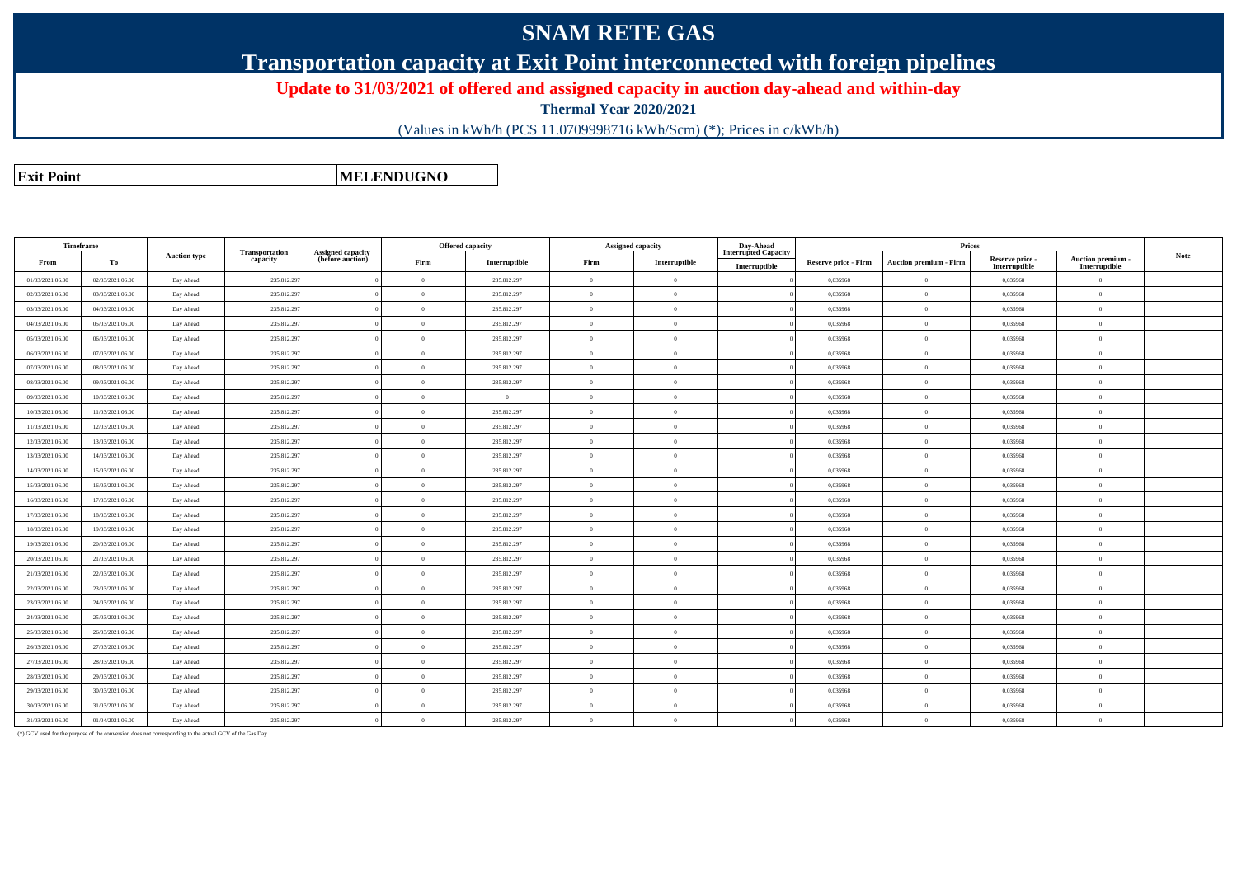## **SNAM RETE GAS**

**Transportation capacity at Exit Point interconnected with foreign pipelines**

**Update to 31/03/2021 of offered and assigned capacity in auction day-ahead and within-day**

**Thermal Year 2020/2021**

(Values in kWh/h (PCS 11.0709998716 kWh/Scm) (\*); Prices in c/kWh/h)

**Exit PointMELENDUGNO**

**TimeframeFromm** | To **Auction type Transportation capacity Assigned capacity (before auction) Offered capacityFirm Interruptible Assigned capacityFirm Interruptible Day-Ahead Interrupted CapacityInterruptiblePricesReserve price - Firm Auction premium - Firm Reserve price - Interruptible Auction premium - Interruptible Note** 01/03/2021 06.000 | 02/03/2021 06.00 | Day Ahead | 235.812.297 | 0 | 235.812.297 | 0 | 0 | 0,035968 | 0 | 0,035968 | 0 | 0,035968 | 02/03/2021 06.000 | 03/03/2021 06.00 | Day Ahead | 235.812.297 | 0 | 235.812.297 | 0 | 0 | 0,035968 | 0 | 0,035968 | 0 | 0,035968 | 03/03/2021 06.000 | 04/03/2021 06.00 | Day Ahead | 235.812.297 | 0 | 235.812.297 | 0 | 0,035968 | 0 | 0,035968 | 0,035968 | 0, 04/03/2021 06.000 | 05/03/2021 06.00 | Day Ahead | 235.812.297 | 0 | 235.812.297 | 0 | 0 | 0,035968 | 0 | 0,035968 | 0 | 0,035968 | 05/03/2021 06.00 06/03/2021 06.00 Day Ahead 235.812.297 <sup>0</sup> <sup>0</sup> 235.812.297 <sup>0</sup> <sup>0</sup> <sup>0</sup> 0,035968 <sup>0</sup> 0,035968 <sup>0</sup> 06/03/2021 06.000 | 07/03/2021 06.00 | Day Ahead | 235.812.297 | 0 | 235.812.297 | 0 | 0,035968 | 0 | 0,035968 | 0,035968 | 0, 07/03/2021 06.00 08/03/2021 06.00 Day Ahead 235.812.297 <sup>0</sup> <sup>0</sup> 235.812.297 <sup>0</sup> <sup>0</sup> <sup>0</sup> 0,035968 <sup>0</sup> 0,035968 <sup>0</sup> 08/03/2021 06.00 09/03/2021 06.00 Day Ahead 235.812.297 <sup>0</sup> <sup>0</sup> 235.812.297 <sup>0</sup> <sup>0</sup> <sup>0</sup> 0,035968 <sup>0</sup> 0,035968 <sup>0</sup> 09/03/2021 06.000 | 10/03/2021 06.00 | Day Ahead | 235.812.297 | 0 0 | 0 | 0 | 0 | 0,035968 | 0 | 0,035968 | 0 | 0,035968 | 0 10/03/2021 06.000 | 11/03/2021 06.00 | Day Ahead | 235.812.297 | 0 | 235.812.297 | 0 | 0 | 0,035968 | 0 | 0,035968 | 0 | 0,035968 | 11/03/2021 06.000 | 12/03/2021 06.00 | Day Ahead | 235.812.297 | 0 | 235.812.297 | 0 | 0 | 0,035968 | 0 | 0,035968 | 0 | 0,035968 | 12/03/2021 06.000 | 13/03/2021 06.00 | Day Ahead | 235.812.297 | 0 | 235.812.297 | 0 | 0,035968 | 0 | 0,035968 | 0,035968 | 0, 13/03/2021 06.000 | 14/03/2021 06.00 | Day Ahead | 235.812.297 | 0 | 235.812.297 | 0 | 0 | 0,035968 | 0 | 0,035968 | 0 | 0,035968 | 14/03/2021 06.000 | 15/03/2021 06.00 | Day Ahead | 235.812.297 | 0 | 235.812.297 | 0 | 0 | 0,035968 | 0 | 0,035968 | 0 | 0,035968 | 15/03/2021 06.000 | 16/03/2021 06.00 | Day Ahead | 235.812.297 | 0 | 235.812.297 | 0 | 0,035968 | 0 | 0,035968 | 0,035968 | 0, 16/03/2021 06.000 | 17/03/2021 06.00 | Day Ahead | 235.812.297 | 0 | 235.812.297 | 0 | 0 | 0,035968 | 0 | 0,035968 | 0 | 0,035968 | 17/03/2021 06.000 | 18/03/2021 06.00 | Day Ahead | 235.812.297 | 0 | 235.812.297 | 0 | 0 | 0,035968 | 0 | 0,035968 | 0 | 0,035968 | 18/03/2021 06.000 | 19/03/2021 06.00 | Day Ahead | 235.812.297 | 0 | 235.812.297 | 0 | 0,035968 | 0 | 0,035968 | 0,035968 | 0, 19/03/2021 06.000 | 20/03/2021 06.00 | Day Ahead | 235.812.297 | 0 | 235.812.297 | 0 | 0 | 0,035968 | 0 | 0,035968 | 0 | 0,035968 | 20/03/2021 06.000 | 21/03/2021 06.00 | Day Ahead | 235.812.297 | 0 | 235.812.297 | 0 | 0 | 0,035968 | 0 | 0,035968 | 0 | 0,035968 | 21/03/2021 06.000 22/03/2021 06.00 Day Ahead | 235.812.297 | 0 | 235.812.297 | 0 | 0,035968 | 0 | 0,035968 | 0,035968 | 0,035968 | 0 22/03/2021 06.000 23/03/2021 06.00 Day Ahead | 235.812.297 | 0 0 | 235.812.297 | 0 | 0 | 0,035968 | 0 | 0,035968 | 0 | 0,035968 23/03/2021 06.000 | 24/03/2021 06.00 | Day Ahead | 235.812.297 | 0 | 235.812.297 | 0 | 0 | 0,035968 | 0 | 0,035968 | 0 | 0,035968 | 24/03/2021 06.000 25/03/2021 06.00 Day Ahead | 235.812.297 | 0 | 235.812.297 | 0 | 0,035968 | 0 | 0,035968 | 0,035968 | 0,035968 | 0 25/03/2021 06.000 26/03/2021 06.00 Day Ahead | 235.812.297 | 0 0 | 235.812.297 | 0 | 0 | 0,035968 | 0 | 0,035968 | 0 | 0,035968 26/03/2021 06.000 27/03/2021 06.00 Day Ahead | 235.812.297 | 0 0 | 235.812.297 | 0 | 0 | 0,035968 | 0 | 0,035968 | 0 | 0,035968 27/03/2021 06.000 28/03/2021 06.00 Day Ahead | 235.812.297 | 0 | 235.812.297 | 0 | 0,035968 | 0 | 0,035968 | 0,035968 | 0,035968 | 0 28/03/2021 06.000 | 29/03/2021 06.00 | Day Ahead | 235.812.297 | 0 | 235.812.297 | 0 | 0 | 0,035968 | 0 | 0,035968 | 0 | 0,035968 | 29/03/2021 06.000 | 30/03/2021 06.00 | Day Ahead | 235.812.297 | 0 | 235.812.297 | 0 | 0 | 0,035968 | 0 | 0,035968 | 0 | 0,035968 | 30/03/2021 06.000 31/03/2021 06.00 Day Ahead | 235.812.297 | 0 | 235.812.297 | 0 | 0,035968 | 0 | 0,035968 | 0,035968 | 0,035968 | 0 31/03/2021 06.000 | 01/04/2021 06.00 | Day Ahead | 235.812.297 | 0 | 235.812.297 | 0 | 0 | 0.035968 | 0 | 0,035968 | 0 | 0,035968 |

(\*) GCV used for the purpose of the conversion does not corresponding to the actual GCV of the Gas Day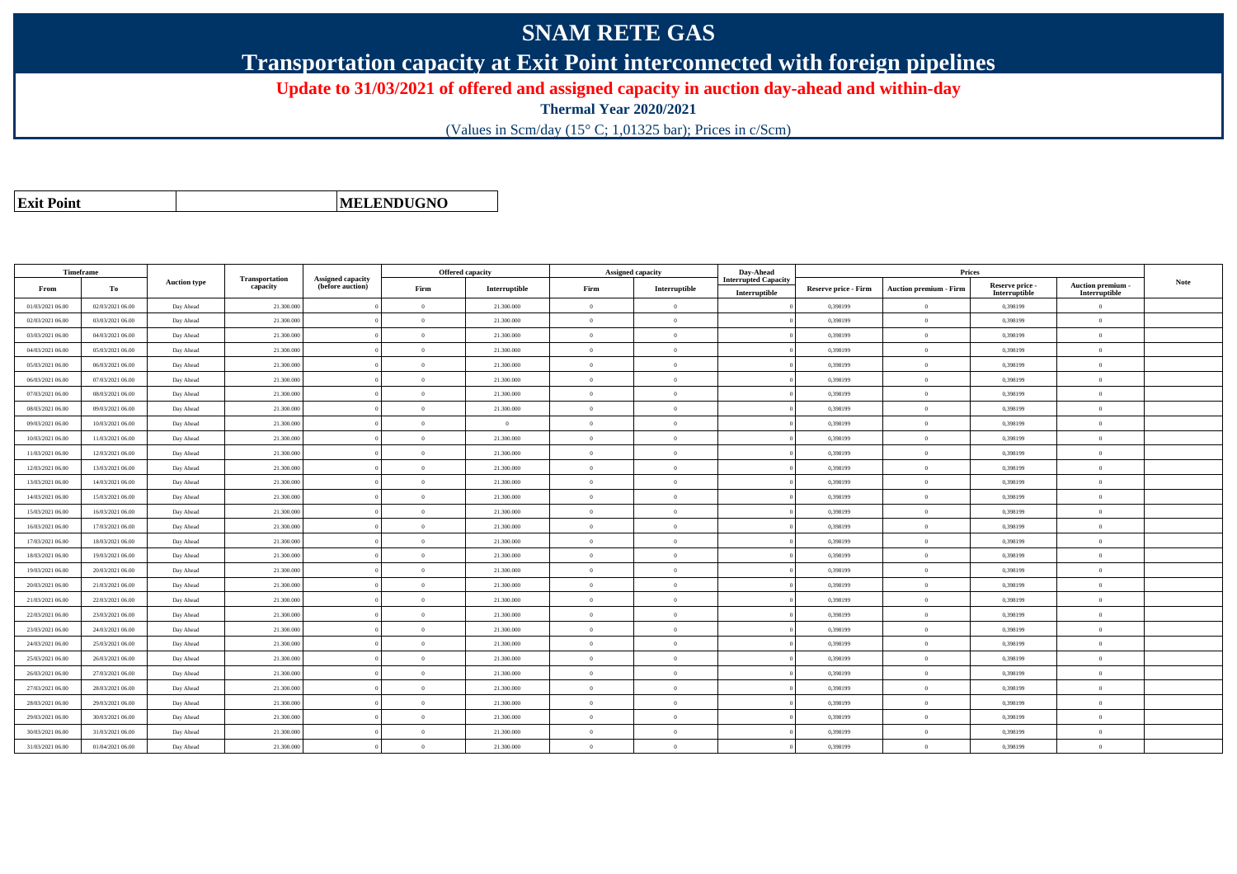## **SNAM RETE GAS**

**Transportation capacity at Exit Point interconnected with foreign pipelines**

**Update to 31/03/2021 of offered and assigned capacity in auction day-ahead and within-day**

**Thermal Year 2020/2021**

(Values in Scm/day (15° C; 1,01325 bar); Prices in c/Scm)

|  | <b>Exit Point</b> |
|--|-------------------|
|  |                   |

**MELENDUGNO**

| Timeframe        |                  |                     |                            |                                              | <b>Offered capacity</b> |               | <b>Assigned capacity</b> |                | Day-Ahead                                    | Prices                      |                               |                                  |                                         |             |
|------------------|------------------|---------------------|----------------------------|----------------------------------------------|-------------------------|---------------|--------------------------|----------------|----------------------------------------------|-----------------------------|-------------------------------|----------------------------------|-----------------------------------------|-------------|
| From             | To               | <b>Auction type</b> | Transportation<br>capacity | <b>Assigned capacity</b><br>(before auction) | Firm                    | Interruptible | Firm                     | Interruptible  | <b>Interrupted Capacity</b><br>Interruptible | <b>Reserve price - Firm</b> | <b>Auction premium - Firm</b> | Reserve price -<br>Interruptible | <b>Auction premium</b><br>Interruptible | <b>Note</b> |
| 01/03/2021 06:00 | 02/03/2021 06:00 | Day Ahead           | 21.300.000                 |                                              | $\Omega$                | 21.300.000    | $\theta$                 | $\Omega$       |                                              | 0,398199                    | $\overline{0}$                | 0,398199                         | $\Omega$                                |             |
| 02/03/2021 06:00 | 03/03/2021 06:00 | Day Ahead           | 21.300.000                 |                                              | $\overline{0}$          | 21.300.000    | $\overline{0}$           | $\Omega$       |                                              | 0,398199                    | $\overline{0}$                | 0,398199                         | $\mathbf{0}$                            |             |
| 03/03/2021 06:00 | 04/03/2021 06:00 | Day Ahead           | 21.300.000                 |                                              | $\theta$                | 21.300.000    | $\theta$                 | $\Omega$       |                                              | 0,398199                    | $\overline{0}$                | 0,398199                         | $\Omega$                                |             |
| 04/03/2021 06:00 | 05/03/2021 06:00 | Day Ahead           | 21.300.000                 |                                              | $\theta$                | 21.300.000    | $\theta$                 | $\Omega$       |                                              | 0,398199                    | $\overline{0}$                | 0,398199                         | $\Omega$                                |             |
| 05/03/2021 06:00 | 06/03/2021 06:00 | Day Ahead           | 21.300.000                 |                                              | $\theta$                | 21.300.000    | $\theta$                 | $\Omega$       |                                              | 0.398199                    | $\overline{0}$                | 0,398199                         | $\Omega$                                |             |
| 06/03/2021 06:00 | 07/03/2021 06:00 | Day Ahead           | 21.300.000                 |                                              | $\overline{0}$          | 21.300.000    | $\theta$                 | $\Omega$       |                                              | 0.398199                    | $\overline{0}$                | 0,398199                         | $\overline{0}$                          |             |
| 07/03/2021 06:00 | 08/03/2021 06:00 | Day Ahead           | 21.300.000                 |                                              | $\overline{0}$          | 21.300.000    | $\theta$                 | $\overline{0}$ |                                              | 0,398199                    | $\overline{0}$                | 0,398199                         | $\mathbf{0}$                            |             |
| 08/03/2021 06:00 | 09/03/2021 06:00 | Day Ahead           | 21.300.000                 |                                              | $\overline{0}$          | 21.300.000    | $\theta$                 | $\Omega$       |                                              | 0,398199                    | $\overline{0}$                | 0,398199                         | $\theta$                                |             |
| 09/03/2021 06:00 | 10/03/2021 06:00 | Day Ahead           | 21.300.000                 |                                              | $\overline{0}$          | $\theta$      | $\theta$                 | $\Omega$       |                                              | 0.398199                    | $\overline{0}$                | 0.398199                         | $\Omega$                                |             |
| 10/03/2021 06:00 | 11/03/2021 06:00 | Day Ahead           | 21.300.000                 |                                              | $\theta$                | 21.300.000    | $\theta$                 | $\Omega$       |                                              | 0,398199                    | $\overline{0}$                | 0,398199                         | $\Omega$                                |             |
| 11/03/2021 06:00 | 12/03/2021 06:00 | Day Ahead           | 21.300.000                 |                                              | $\Omega$                | 21.300,000    | $\theta$                 | $\Omega$       |                                              | 0.398199                    | $\overline{0}$                | 0,398199                         | $\Omega$                                |             |
| 12/03/2021 06:00 | 13/03/2021 06:00 | Day Ahead           | 21.300.000                 |                                              | $\theta$                | 21.300.000    | $\theta$                 | $\Omega$       |                                              | 0,398199                    | $\overline{0}$                | 0,398199                         | $\Omega$                                |             |
| 13/03/2021 06:00 | 14/03/2021 06:00 | Day Ahead           | 21.300.000                 |                                              | $\overline{0}$          | 21.300.000    | $\theta$                 | $\Omega$       |                                              | 0,398199                    | $\overline{0}$                | 0,398199                         | $\theta$                                |             |
| 14/03/2021 06:00 | 15/03/2021 06:00 | Day Ahead           | 21.300.000                 |                                              | $\overline{0}$          | 21.300.000    | $\overline{0}$           | $\overline{0}$ |                                              | 0,398199                    | $\mathbf{0}$                  | 0,398199                         | $\mathbf{0}$                            |             |
| 15/03/2021 06:00 | 16/03/2021 06:00 | Day Ahead           | 21.300.000                 |                                              | $\Omega$                | 21.300.000    | $\theta$                 | $\Omega$       |                                              | 0,398199                    | $\overline{0}$                | 0,398199                         | $\Omega$                                |             |
| 16/03/2021 06:00 | 17/03/2021 06:00 | Day Ahead           | 21.300,000                 |                                              | $\theta$                | 21.300,000    | $\theta$                 | $\Omega$       |                                              | 0.398199                    | $\overline{0}$                | 0.398199                         | $\overline{0}$                          |             |
| 17/03/2021 06:00 | 18/03/2021 06:00 | Day Ahead           | 21.300.000                 |                                              | $\theta$                | 21.300.000    | $\theta$                 | $\overline{0}$ |                                              | 0,398199                    | $\overline{0}$                | 0,398199                         | $\Omega$                                |             |
| 18/03/2021 06:00 | 19/03/2021 06:00 | Day Ahead           | 21.300.000                 |                                              | $\overline{0}$          | 21.300,000    | $\theta$                 | $\Omega$       |                                              | 0.398199                    | $\mathbf{0}$                  | 0,398199                         | $\Omega$                                |             |
| 19/03/2021 06:00 | 20/03/2021 06:00 | Day Ahead           | 21.300.000                 |                                              | $\overline{0}$          | 21.300.000    | $\overline{0}$           | $\overline{0}$ |                                              | 0.398199                    | $\overline{0}$                | 0,398199                         | $\theta$                                |             |
| 20/03/2021 06:00 | 21/03/2021 06:00 | Day Ahead           | 21.300.000                 |                                              | $\Omega$                | 21.300.000    | $\theta$                 | $\Omega$       |                                              | 0,398199                    | $\overline{0}$                | 0,398199                         | $\overline{0}$                          |             |
| 21/03/2021 06:00 | 22/03/2021 06:00 | Day Ahead           | 21.300.000                 |                                              | $\overline{0}$          | 21.300.000    | $\theta$                 | $\Omega$       |                                              | 0,398199                    | $\overline{0}$                | 0,398199                         | $\mathbf{0}$                            |             |
| 22/03/2021 06:00 | 23/03/2021 06:00 | Day Ahead           | 21.300.000                 |                                              | $\overline{0}$          | 21.300.000    | $\theta$                 | $\Omega$       |                                              | 0,398199                    | $\overline{0}$                | 0,398199                         | $\theta$                                |             |
| 23/03/2021 06:00 | 24/03/2021 06:00 | Day Ahead           | 21.300,000                 |                                              | $\theta$                | 21.300.000    | $\theta$                 | $\Omega$       |                                              | 0.398199                    | $\overline{0}$                | 0.398199                         | $\Omega$                                |             |
| 24/03/2021 06:00 | 25/03/2021 06:00 | Day Ahead           | 21.300.000                 |                                              | $\theta$                | 21.300.000    | $\theta$                 | $\Omega$       |                                              | 0,398199                    | $\overline{0}$                | 0,398199                         | $\Omega$                                |             |
| 25/03/2021 06:00 | 26/03/2021 06:00 | Day Ahead           | 21.300.000                 |                                              | $\overline{0}$          | 21.300.000    | $\overline{0}$           | $\Omega$       |                                              | 0,398199                    | $\overline{0}$                | 0,398199                         | $\mathbf{0}$                            |             |
| 26/03/2021 06:00 | 27/03/2021 06:00 | Day Ahead           | 21.300.000                 |                                              | $\overline{0}$          | 21.300.000    | $\theta$                 | $\overline{0}$ |                                              | 0.398199                    | $\overline{0}$                | 0,398199                         | $\overline{0}$                          |             |
| 27/03/2021 06:00 | 28/03/2021 06:00 | Day Ahead           | 21.300.000                 |                                              | $\overline{0}$          | 21.300.000    | $\theta$                 | $\Omega$       |                                              | 0,398199                    | $\overline{0}$                | 0,398199                         | $\theta$                                |             |
| 28/03/2021 06:00 | 29/03/2021 06:00 | Day Ahead           | 21.300.000                 |                                              | $\overline{0}$          | 21.300.000    | $\theta$                 | $\Omega$       |                                              | 0.398199                    | $\overline{0}$                | 0,398199                         | $\Omega$                                |             |
| 29/03/2021 06:00 | 30/03/2021 06:00 | Day Ahead           | 21.300.000                 |                                              | $\Omega$                | 21.300.000    | $\theta$                 | $\Omega$       |                                              | 0.398199                    | $\overline{0}$                | 0.398199                         | $\Omega$                                |             |
| 30/03/2021 06:00 | 31/03/2021 06:00 | Day Ahead           | 21.300.000                 |                                              | $\Omega$                | 21.300.000    | $\theta$                 | $\Omega$       |                                              | 0,398199                    | $\theta$                      | 0,398199                         | $\Omega$                                |             |
| 31/03/2021 06:00 | 01/04/2021 06:00 | Day Ahead           | 21.300.000                 |                                              | $\overline{0}$          | 21.300.000    | $\overline{0}$           | $\overline{0}$ |                                              | 0.398199                    | $\overline{0}$                | 0,398199                         | $\mathbf{0}$                            |             |